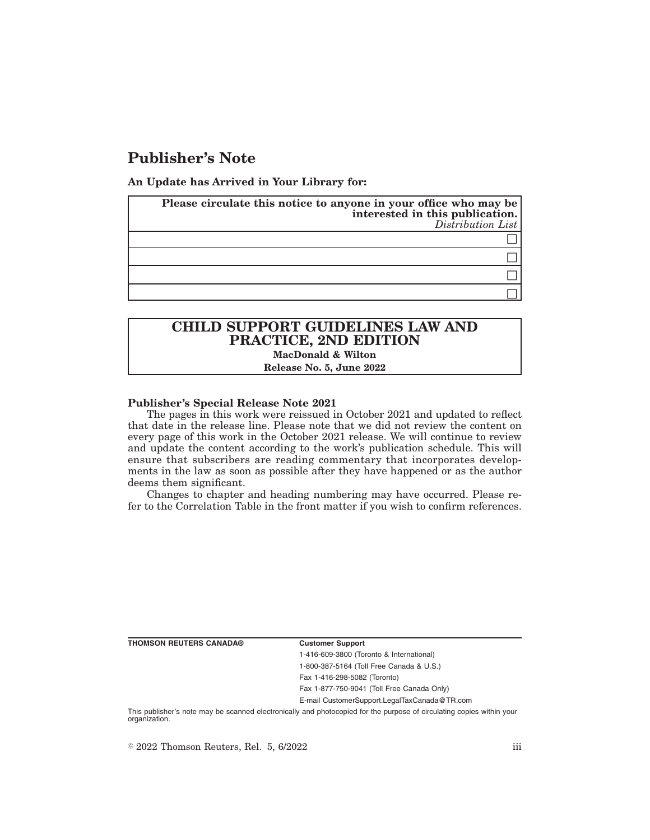# **Publisher's Note**

**An Update has Arrived in Your Library for:**

| Please circulate this notice to anyone in your office who may be<br>interested in this publication.<br>Distribution List |
|--------------------------------------------------------------------------------------------------------------------------|
|                                                                                                                          |
|                                                                                                                          |
|                                                                                                                          |
|                                                                                                                          |

## **CHILD SUPPORT GUIDELINES LAW AND PRACTICE, 2ND EDITION MacDonald & Wilton**

#### **Release No. 5, June 2022**

#### **Publisher's Special Release Note 2021**

The pages in this work were reissued in October 2021 and updated to reflect that date in the release line. Please note that we did not review the content on every page of this work in the October 2021 release. We will continue to review and update the content according to the work's publication schedule. This will ensure that subscribers are reading commentary that incorporates developments in the law as soon as possible after they have happened or as the author deems them significant.

Changes to chapter and heading numbering may have occurred. Please refer to the Correlation Table in the front matter if you wish to confirm references.

**THOMSON REUTERS CANADA® Customer Support**

1-416-609-3800 (Toronto & International) 1-800-387-5164 (Toll Free Canada & U.S.) Fax 1-416-298-5082 (Toronto)

Fax 1-877-750-9041 (Toll Free Canada Only)

E-mail CustomerSupport.LegalTaxCanada@TR.com

This publisher's note may be scanned electronically and photocopied for the purpose of circulating copies within your organization.

 $\degree$  2022 Thomson Reuters, Rel. 5, 6/2022 iii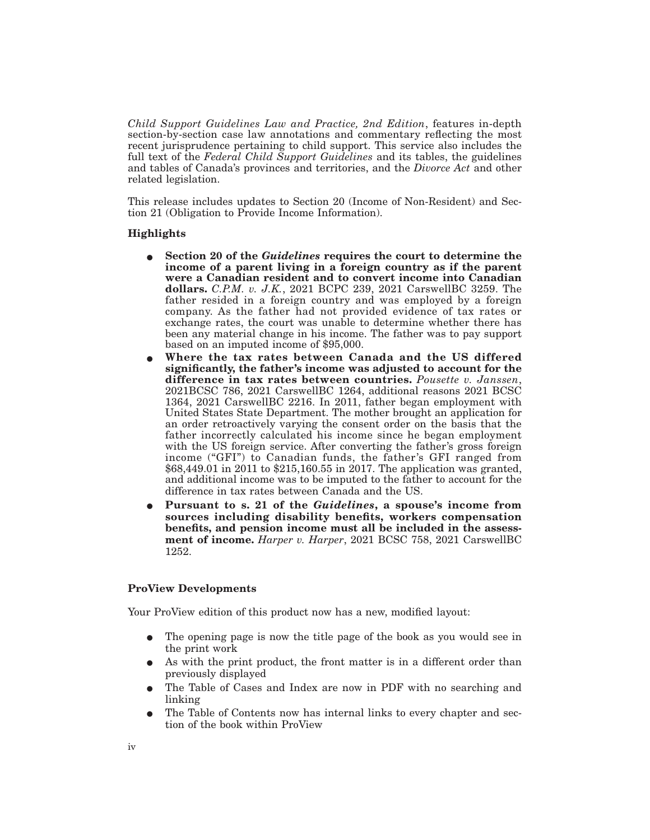*Child Support Guidelines Law and Practice, 2nd Edition*, features in-depth section-by-section case law annotations and commentary reflecting the most recent jurisprudence pertaining to child support. This service also includes the full text of the *Federal Child Support Guidelines* and its tables, the guidelines and tables of Canada's provinces and territories, and the *Divorce Act* and other related legislation.

This release includes updates to Section 20 (Income of Non-Resident) and Section 21 (Obligation to Provide Income Information).

### **Highlights**

- E **Section 20 of the** *Guidelines* **requires the court to determine the income of a parent living in a foreign country as if the parent were a Canadian resident and to convert income into Canadian dollars.** *C.P.M. v. J.K.*, 2021 BCPC 239, 2021 CarswellBC 3259. The father resided in a foreign country and was employed by a foreign company. As the father had not provided evidence of tax rates or exchange rates, the court was unable to determine whether there has been any material change in his income. The father was to pay support based on an imputed income of \$95,000.
- E **Where the tax rates between Canada and the US differed significantly, the father's income was adjusted to account for the difference in tax rates between countries.** *Pousette v. Janssen*, 2021BCSC 786, 2021 CarswellBC 1264, additional reasons 2021 BCSC 1364, 2021 CarswellBC 2216. In 2011, father began employment with United States State Department. The mother brought an application for an order retroactively varying the consent order on the basis that the father incorrectly calculated his income since he began employment with the US foreign service. After converting the father's gross foreign income ("GFI") to Canadian funds, the father's GFI ranged from \$68,449.01 in 2011 to \$215,160.55 in 2017. The application was granted, and additional income was to be imputed to the father to account for the difference in tax rates between Canada and the US.
- E **Pursuant to s. 21 of the** *Guidelines***, a spouse's income from sources including disability benefits, workers compensation benefits, and pension income must all be included in the assessment of income.** *Harper v. Harper*, 2021 BCSC 758, 2021 CarswellBC 1252.

#### **ProView Developments**

Your ProView edition of this product now has a new, modified layout:

- The opening page is now the title page of the book as you would see in the print work
- As with the print product, the front matter is in a different order than previously displayed
- The Table of Cases and Index are now in PDF with no searching and linking
- E The Table of Contents now has internal links to every chapter and section of the book within ProView